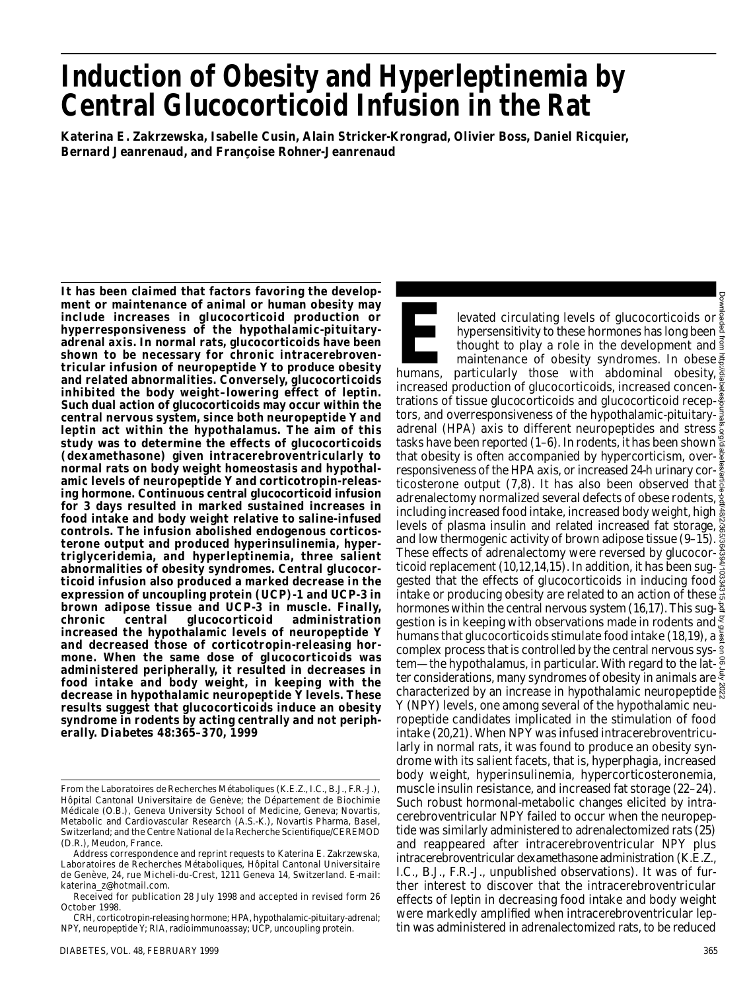# **Induction of Obesity and Hyperleptinemia by Central Glucocorticoid Infusion in the Rat**

**Katerina E. Zakrzewska, Isabelle Cusin, Alain Stricker-Krongrad, Olivier Boss, Daniel Ricquier, Bernard Jeanrenaud, and Francoise Rohner-Jeanrenaud** 

**It has been claimed that factors favoring the development or maintenance of animal or human obesity may include increases in glucocorticoid production or hyperresponsiveness of the hypothalamic-pituitaryadrenal axis. In normal rats, glucocorticoids have been shown to be necessary for chronic intracerebroventricular infusion of neuropeptide Y to produce obesity and related abnormalities. Conversely, glucocorticoids inhibited the body weight–lowering effect of leptin. Such dual action of glucocorticoids may occur within the central nervous system, since both neuropeptide Y and leptin act within the hypothalamus. The aim of this study was to determine the effects of glucocorticoids (dexamethasone) given intracerebroventricularly to normal rats on body weight homeostasis and hypothalamic levels of neuropeptide Y and corticotropin-releasing hormone. Continuous central glucocorticoid infusion for 3 days resulted in marked sustained increases in food intake and body weight relative to saline-infused controls. The infusion abolished endogenous corticosterone output and produced hyperinsulinemia, hypertriglyceridemia, and hyperleptinemia, three salient abnormalities of obesity syndromes. Central glucocorticoid infusion also produced a marked decrease in the expression of uncoupling protein (UCP)-1 and UCP-3 in brown adipose tissue and UCP-3 in muscle. Finally, chronic central glucocorticoid administration increased the hypothalamic levels of neuropeptide Y and decreased those of corticotropin-releasing hormone. When the same dose of glucocorticoids was administered peripherally, it resulted in decreases in food intake and body weight, in keeping with the decrease in hypothalamic neuropeptide Y levels. These results suggest that glucocorticoids induce an obesity syndrome in rodents by acting centrally and not periphe r a l l y.** *D i a b e t e s* **48:365–370, 1999**

Received for publication 28 July 1998 and accepted in revised form 26 October 1998.

**Example 19 Follow Evaluating Sevels of glucocorticoids or hypersensitivity to these hormones has long been thought to play a role in the development and maintenance of obesity syndromes. In obesity, particularly those wit** levated circulating levels of glucocorticoids or  $\frac{8}{8}$ hypersensitivity to these hormones has long been  $\frac{2}{3}$ thought to play a role in the development and  $\frac{3}{2}$ **I** maintenance of obesity syndromes. In obese $\frac{3}{5}$ increased production of glucocorticoids, increased concentrations of tissue glucocorticoids and glucocorticoid receptors, and overresponsiveness of the hypothalamic-pituitaryadrenal (HPA) axis to different neuropeptides and stress tasks have been reported (1–6). In rodents, it has been shown that obesity is often accompanied by hypercorticism, overresponsiveness of the HPA axis, or increased 24-h urinary corticosterone output (7,8). It has also been observed that  $\frac{3}{2}$ adrenalectomy normalized several defects of obese rodents,  $\frac{1}{2}$ including increased food intake, increased body weight, high  $\frac{5}{8}$ levels of plasma insulin and related increased fat storage, and low thermogenic activity of brown adipose tissue (9–15). These effects of adrenalectomy were reversed by glucocorticoid replacement (10,12,14,15). In addition, it has been suggested that the effects of glucocorticoids in inducing food intake or producing obesity are related to an action of these  $\frac{\omega}{\omega}$ hormones within the central nervous system (16,17). This suggestion is in keeping with observations made in rodents and $\frac{8}{6}$ humans that glucocorticoids stimulate food intake (18,19), a complex process that is controlled by the central nervous system—the hypothalamus, in particular. With regard to the lat-  $\frac{\infty}{2}$ ter considerations, many syndromes of obesity in animals are  $\bar{\bar{\xi}}$ characterized by an increase in hypothalamic neuropeptide Y (NPY) levels, one among several of the hypothalamic neuropeptide candidates implicated in the stimulation of food intake (20,21). When NPY was infused intracerebroventricularly in normal rats, it was found to produce an obesity syndrome with its salient facets, that is, hyperphagia, increased body weight, hyperinsulinemia, hypercorticosteronemia, muscle insulin resistance, and increased fat storage (22–24). Such robust hormonal-metabolic changes elicited by intracerebroventricular NPY failed to occur when the neuropeptide was similarly administered to adrenalectomized rats (25) and reappeared after intracerebroventricular NPY plus intracerebroventricular dexamethasone administration (K.E.Z., I.C., B.J., F.R.-J., unpublished observations). It was of further interest to discover that the intracerebroventricular effects of leptin in decreasing food intake and body weight were markedly amplified when intracerebroventricular leptin was administered in adrenalectomized rats, to be reduced Downloaded from http://diabetesjournals.org/diabetes/article-pdf/48/2/365/364394/10334315.pdf by guest on 06 July 2022

From the Laboratoires de Recherches Métaboliques (K.E.Z., I.C., B.J., F.R.-J.), Hôpital Cantonal Universitaire de Genève; the Département de Biochimie Médicale (O.B.), Geneva University School of Medicine, Geneva; Novartis, Metabolic and Cardiovascular Research (A.S.-K.), Novartis Pharma, Basel, Switzerland; and the Centre National de la Recherche Scientifique/CEREMOD (D.R.), Meudon, France.

Address correspondence and reprint requests to Katerina E. Zakrzewska, Laboratoires de Recherches Métaboliques, Hôpital Cantonal Universitaire de Genève, 24, rue Micheli-du-Crest, 1211 Geneva 14, Switzerland. E-mail: k a terina z@hotmail.com.

CRH, corticotropin-releasing hormone; HPA, hypothalamic-pituitary-adrenal; NPY, neuropeptide Y; RIA, radioimmunoassay; UCP, uncoupling protein.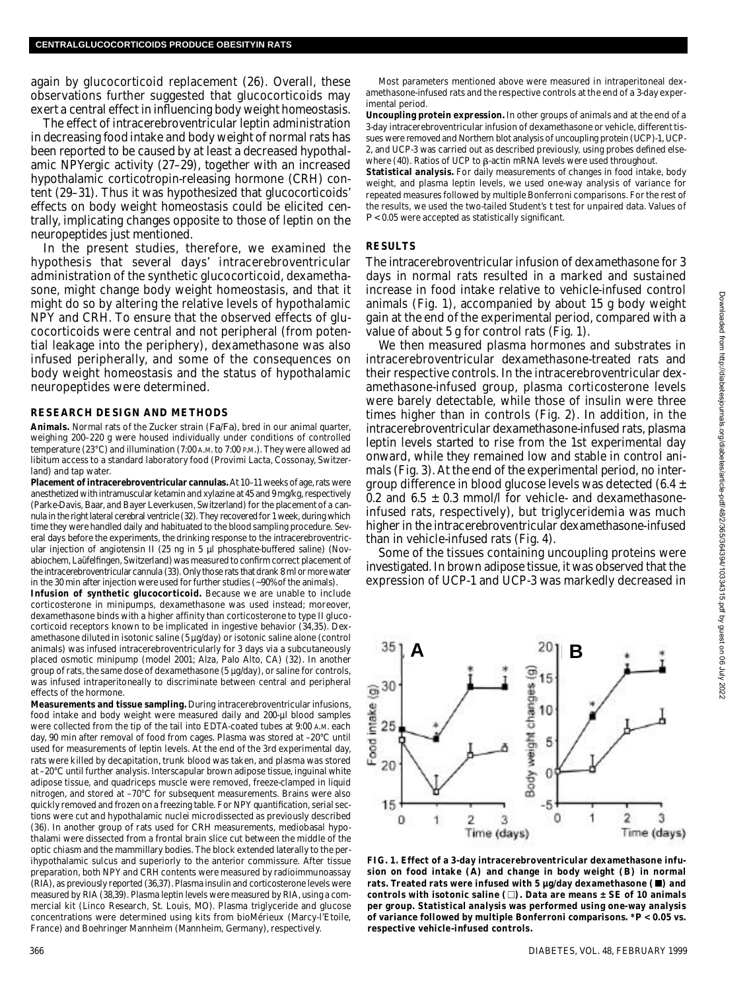again by glucocorticoid replacement (26). Overall, these observations further suggested that glucocorticoids may exert a central effect in influencing body weight homeostasis.

The effect of intracerebroventricular leptin administration in decreasing food intake and body weight of normal rats has been reported to be caused by at least a decreased hypothalamic NPYergic activity (27–29), together with an increased hypothalamic corticotropin-releasing hormone (CRH) content (29–31). Thus it was hypothesized that glucocorticoids' effects on body weight homeostasis could be elicited centrally, implicating changes opposite to those of leptin on the neuropeptides just mentioned.

In the present studies, therefore, we examined the hypothesis that several days' intracerebroventricular administration of the synthetic glucocorticoid, dexamethasone, might change body weight homeostasis, and that it might do so by altering the relative levels of hypothalamic NPY and CRH. To ensure that the observed effects of glucocorticoids were central and not peripheral (from potential leakage into the periphery), dexamethasone was also infused peripherally, and some of the consequences on body weight homeostasis and the status of hypothalamic neuropeptides were determined.

## **RESEARCH DESIGN AND METHODS**

Animals. Normal rats of the Zucker strain (*FalFa*), bred in our animal quarter, weighing 200–220 g were housed individually under conditions of controlled temperature (23°C) and illumination (7:00 A.M. to 7:00 P.M.). They were allowed ad libitum access to a standard laboratory food (Provimi Lacta, Cossonay, Switzerland) and tap water.

**Placement of intracerebroventricular cannulas.**At 10–11 weeks of age, rats were anesthetized with intramuscular ketamin and xylazine at 45 and 9 mg/kg, respectively (Parke-Davis, Baar, and Bayer Leverkusen, Switzerland) for the placement of a cannula in the right lateral cerebral ventricle (32). They recovered for 1 week, during which time they were handled daily and habituated to the blood sampling procedure. Several days before the experiments, the drinking response to the intracerebroventricular injection of angiotensin II (25 ng in 5 µl phosphate-buffered saline) (Novabiochem, Laüfelfingen, Switzerland) was measured to confirm correct placement of the intracerebroventricular cannula (33). Only those rats that drank 8 ml or more water in the 30 min after injection were used for further studies (~90% of the animals).

**Infusion of synthetic glucocorticoid.** Because we are unable to include corticosterone in minipumps, dexamethasone was used instead; moreover, dexamethasone binds with a higher affinity than corticosterone to type II glucocorticoid receptors known to be implicated in ingestive behavior (34,35). Dexamethasone diluted in isotonic saline (5 µg/day) or isotonic saline alone (control animals) was infused intracerebroventricularly for 3 days via a subcutaneously placed osmotic minipump (model 2001; Alza, Palo Alto, CA) (32). In another group of rats, the same dose of dexamethasone (5 µg/day), or saline for controls, was infused intraperitoneally to discriminate between central and peripheral effects of the hormone.

**Measurements and tissue sampling.** During intracerebroventricular infusions, food intake and body weight were measured daily and 200-µl blood samples were collected from the tip of the tail into EDTA-coated tubes at 9:00 A.M. each day, 90 min after removal of food from cages. Plasma was stored at -20°C until used for measurements of leptin levels. At the end of the 3rd experimental day, rats were killed by decapitation, trunk blood was taken, and plasma was stored at –20°C until further analysis. Interscapular brown adipose tissue, inguinal white adipose tissue, and quadriceps muscle were removed, freeze-clamped in liquid nitrogen, and stored at –70°C for subsequent measurements. Brains were also quickly removed and frozen on a freezing table. For NPY quantification, serial sections were cut and hypothalamic nuclei microdissected as previously described (36). In another group of rats used for CRH measurements, mediobasal hypothalami were dissected from a frontal brain slice cut between the middle of the optic chiasm and the mammillary bodies. The block extended laterally to the perihypothalamic sulcus and superiorly to the anterior commissure. After tissue preparation, both NPY and CRH contents were measured by radioimmunoassay (RIA), as previously reported (36,37). Plasma insulin and corticosterone levels were measured by RIA (38,39). Plasma leptin levels were measured by RIA, using a commercial kit (Linco Research, St. Louis, MO). Plasma triglyceride and glucose concentrations were determined using kits from bioMérieux (Marcy-l'Etoile, France) and Boehringer Mannheim (Mannheim, Germany), respectively.

Most parameters mentioned above were measured in intraperitoneal dexamethasone-infused rats and the respective controls at the end of a 3-day experimental period.

**Uncoupling protein expression.**In other groups of animals and at the end of a 3-day intracerebroventricular infusion of dexamethasone or vehicle, different tissues were removed and Northern blot analysis of uncoupling protein (UCP)-1, UCP-2, and UCP-3 was carried out as described previously, using probes defined elsewhere (40). Ratios of UCP to  $\beta$ -actin mRNA levels were used throughout.

**Statistical analysis.** For daily measurements of changes in food intake, body weight, and plasma leptin levels, we used one-way analysis of variance for repeated measures followed by multiple Bonferroni comparisons. For the rest of the results, we used the two-tailed Student's *t* test for unpaired data. Values of  $P < 0.05$  were accepted as statistically significant.

#### **RESULTS**

The intracerebroventricular infusion of dexamethasone for 3 days in normal rats resulted in a marked and sustained increase in food intake relative to vehicle-infused control animals (Fig. 1), accompanied by about 15 g body weight gain at the end of the experimental period, compared with a value of about 5 g for control rats (Fig. 1).

We then measured plasma hormones and substrates in intracerebroventricular dexamethasone-treated rats and their respective controls. In the intracerebroventricular dexamethasone-infused group, plasma corticosterone levels were barely detectable, while those of insulin were three times higher than in controls (Fig. 2). In addition, in the intracerebroventricular dexamethasone-infused rats, plasma leptin levels started to rise from the 1st experimental day onward, while they remained low and stable in control animals (Fig. 3). At the end of the experimental period, no intergroup difference in blood glucose levels was detected  $(6.4 \pm 1)$ 0.2 and 6.5  $\pm$  0.3 mmol/l for vehicle- and dexamethasoneinfused rats, respectively), but triglyceridemia was much higher in the intracerebroventricular dexamethasone-infused than in vehicle-infused rats (Fig. 4).

Some of the tissues containing uncoupling proteins were investigated. In brown adipose tissue, it was observed that the expression of UCP-1 and UCP-3 was markedly decreased in



**FIG. 1. Effect of a 3-day intracerebroventricular dexamethasone infusion on food intake (***A***) and change in body weight (***B***) in normal rats. Treated rats were infused with 5 µg/day dexamethasone ( ) and controls with isotonic saline ( ). Data are means ± SE of 10 animals per group. Statistical analysis was performed using one-way analysis of variance followed by multiple Bonferroni comparisons. \****P* **< 0.05 vs. respective vehicle-infused controls.**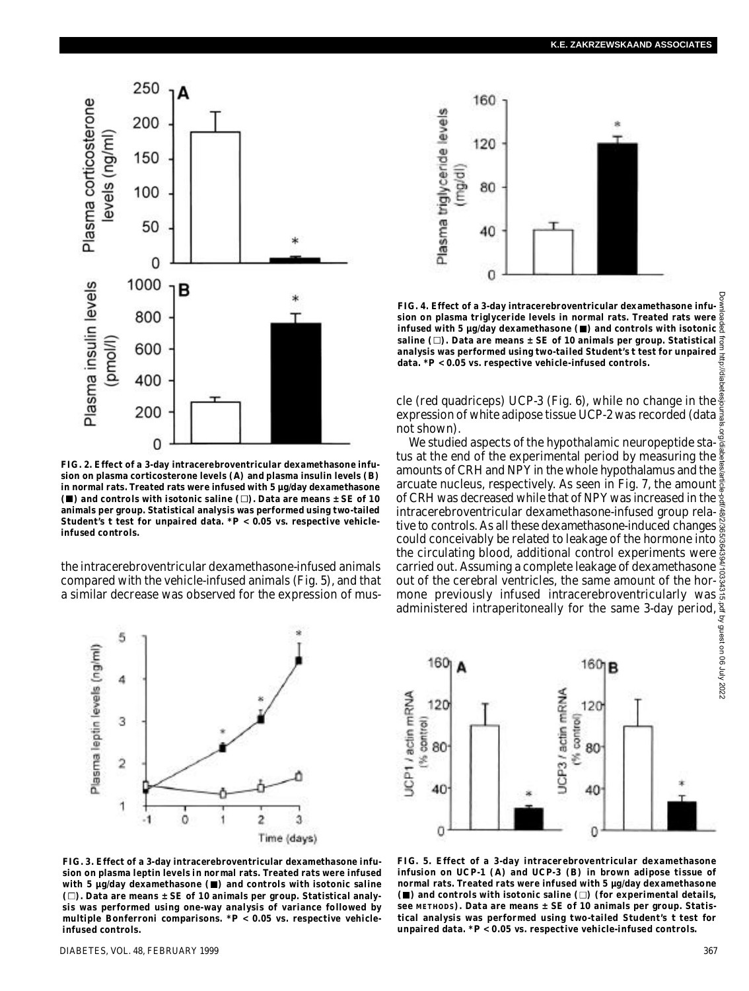

**FIG. 2. Effect of a 3-day intracerebroventricular dexamethasone infusion on plasma corticosterone levels (***A***) and plasma insulin levels (***B***) in normal rats. Treated rats were infused with 5 µg/day dexamethasone ( ) and controls with isotonic saline ( ). Data are means ± SE of 10 animals per group. Statistical analysis was performed using two-tailed** Student's *t* test for unpaired data.  $*P < 0.05$  vs. respective vehicle**infused controls.**

the intracerebroventricular dexamethasone-infused animals compared with the vehicle-infused animals (Fig. 5), and that a similar decrease was observed for the expression of mus-







**FIG. 4. Effect of a 3-day intracerebroventricular dexamethasone infusion on plasma triglyceride levels in normal rats. Treated rats were infused with 5 µg/day dexamethasone ( ) and controls with isotonic saline ( ). Data are means ± SE of 10 animals per group. Statistical analysis was performed using two-tailed Student's** *t* **test for unpaired data. \****P* **< 0.05 vs. respective vehicle-infused controls.**

cle (red quadriceps) UCP-3 (Fig. 6), while no change in the  $\frac{3}{5}$ expression of white adipose tissue UCP-2 was recorded (data not shown).

We studied aspects of the hypothalamic neuropeptide status at the end of the experimental period by measuring the amounts of CRH and NPY in the whole hypothalamus and the  $\frac{8}{5}$ arcuate nucleus, respectively. As seen in Fig. 7, the amount  $\frac{3}{2}$ of CRH was decreased while that of NPY was increased in the  $\frac{3}{2}$ intracerebroventricular dexamethasone-infused group relative to controls. As all these dexamethasone-induced changes  $\stackrel{\backsim}{{\rm s}}$ could conceivably be related to leakage of the hormone into  $\frac{8}{8}$ the circulating blood, additional control experiments were  $\frac{8}{6}$ carried out. Assuming a complete leakage of dexamethasone carried out. Assuming a complete leakage of dexamethasone  $\frac{5}{6}$ <br>out of the cerebral ventricles, the same amount of the hor- $\frac{25}{6}$ mone previously infused intracerebroventricularly was administered intraperitoneally for the same 3-day period, Downloaded from http://diabetesjournals.org/diabetes/article-pdf/48/2/365/364394/10334315.pdf by guest on 06 July 2022



**FIG. 5. Effect of a 3-day intracerebroventricular dexamethasone infusion on UCP-1 (***A***) and UCP-3 (***B***) in brown adipose tissue of normal rats. Treated rats were infused with 5 µg/day dexamethasone ( ) and controls with isotonic saline ( ) (for experimental details,** see METHODS). Data are means ± SE of 10 animals per group. Statis**tical analysis was performed using two-tailed Student's** *t* **test for unpaired data. \****P* **< 0.05 vs. respective vehicle-infused controls.**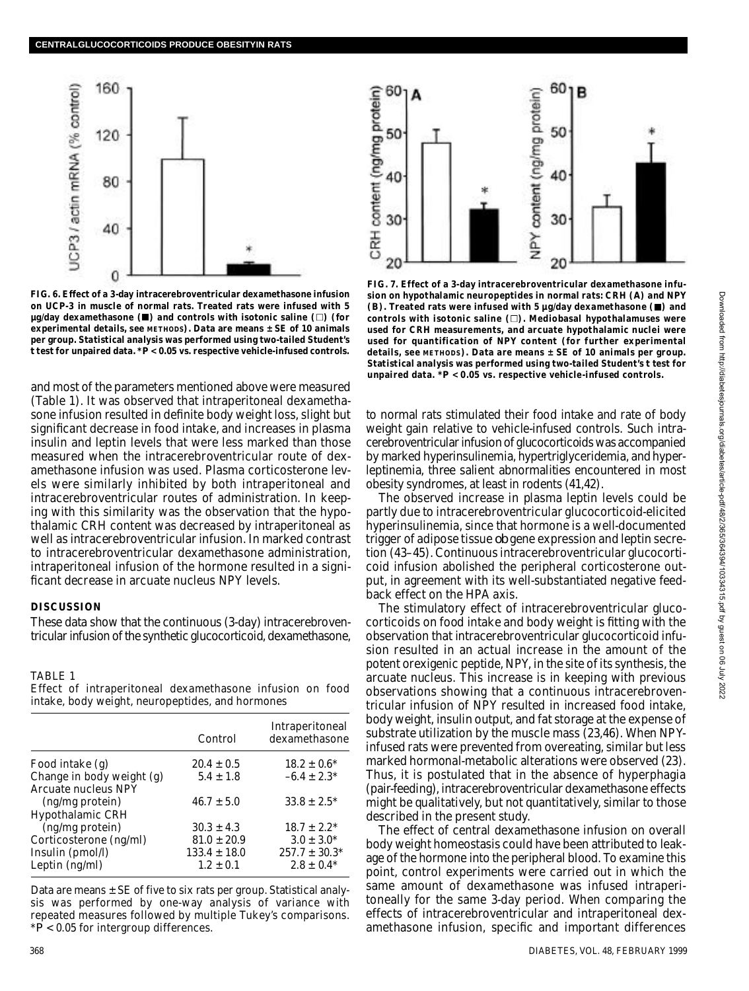

**FIG. 6. Effect of a 3-day intracerebroventricular dexamethasone infusion on UCP-3 in muscle of normal rats. Treated rats were infused with 5 µg/day dexamethasone ( ) and controls with isotonic saline ( ) (for** experimental details, see METHODS). Data are means ± SE of 10 animals **per group. Statistical analysis was performed using two-tailed Student's** *t* **test for unpaired data. \****P* **< 0.05 vs. respective vehicle-infused controls.**

and most of the parameters mentioned above were measured ( Table 1). It was observed that intraperitoneal dexamethasone infusion resulted in definite body weight loss, slight but significant decrease in food intake, and increases in plasma insulin and leptin levels that were less marked than those measured when the intracerebroventricular route of dexamethasone infusion was used. Plasma corticosterone levels were similarly inhibited by both intraperitoneal and intracerebroventricular routes of administration. In keeping with this similarity was the observation that the hypothalamic CRH content was decreased by intraperitoneal as well as intracerebroventricular infusion. In marked contrast to intracerebroventricular dexamethasone administration, intraperitoneal infusion of the hormone resulted in a significant decrease in arcuate nucleus NPY levels.

## **DISCUSSION**

These data show that the continuous (3-day) intracerebroventricular infusion of the synthetic glucocorticoid, dexamethasone,

## TABLE 1

Effect of intraperitoneal dexamethasone infusion on food intake, body weight, neuropeptides, and hormones

|                           | Control          | Intraperitoneal<br>dexamethasone |
|---------------------------|------------------|----------------------------------|
| Food intake (q)           | $20.4 \pm 0.5$   | $18.2 \pm 0.6^*$                 |
| Change in body weight (g) | $5.4 \pm 1.8$    | $-6.4 \pm 2.3^*$                 |
| Arcuate nucleus NPY       |                  |                                  |
| (ng/mg protein)           | $46.7 \pm 5.0$   | $33.8 \pm 2.5^*$                 |
| Hypothalamic CRH          |                  |                                  |
| (ng/mg protein)           | $30.3 \pm 4.3$   | $18.7 \pm 2.2^*$                 |
| Corticosterone (ng/ml)    | $81.0 \pm 20.9$  | $3.0 \pm 3.0^*$                  |
| Insulin (pmol/l)          | $133.4 \pm 18.0$ | $257.7 \pm 30.3*$                |
| Leptin (ng/ml)            | $1.2 \pm 0.1$    | $2.8 \pm 0.4*$                   |

Data are means  $\pm$  SE of five to six rats per group. Statistical analysis was performed by one-way analysis of variance with repeated measures followed by multiple Tukey's comparisons. \**P* < 0.05 for intergroup differences.



**FIG. 7. Effect of a 3-day intracerebroventricular dexamethasone infusion on hypothalamic neuropeptides in normal rats: CRH (***A***) and NPY (***B***). Treated rats were infused with 5 µg/day dexamethasone ( ) and controls with isotonic saline ( ). Mediobasal hypothalamuses were used for CRH measurements, and arcuate hypothalamic nuclei were used for quantification of NPY content (for further experimental** details, see METHODS). Data are means ± SE of 10 animals per group. **Statistical analysis was performed using two-tailed Student's** *t* **test for unpaired data. \****P* **< 0.05 vs. respective vehicle-infused controls.**

to normal rats stimulated their food intake and rate of body weight gain relative to vehicle-infused controls. Such intracerebroventricular infusion of glucocorticoids was accompanied by marked hyperinsulinemia, hypertriglyceridemia, and hyperleptinemia, three salient abnormalities encountered in most obesity syndromes, at least in rodents (41,42).

The observed increase in plasma leptin levels could be partly due to intracerebroventricular glucocorticoid-elicited hyperinsulinemia, since that hormone is a well-documented trigger of adipose tissue *ob* gene expression and leptin secretion (43–45). Continuous intracerebroventricular glucocorticoid infusion abolished the peripheral corticosterone output, in agreement with its well-substantiated negative feedback effect on the HPA axis.

The stimulatory effect of intracerebroventricular glucocorticoids on food intake and body weight is fitting with the observation that intracerebroventricular glucocorticoid infusion resulted in an actual increase in the amount of the potent orexigenic peptide, NPY, in the site of its synthesis, the arcuate nucleus. This increase is in keeping with previous observations showing that a continuous intracerebroventricular infusion of NPY resulted in increased food intake, body weight, insulin output, and fat storage at the expense of substrate utilization by the muscle mass (23,46). When NPYinfused rats were prevented from overeating, similar but less marked hormonal-metabolic alterations were observed (23). Thus, it is postulated that in the absence of hyperphagia (pair-feeding), intracerebroventricular dexamethasone effects might be qualitatively, but not quantitatively, similar to those described in the present study.

The effect of central dexamethasone infusion on overall body weight homeostasis could have been attributed to leakage of the hormone into the peripheral blood. To examine this point, control experiments were carried out in which the same amount of dexamethasone was infused intraperitoneally for the same 3-day period. When comparing the effects of intracerebroventricular and intraperitoneal dexamethasone infusion, specific and important differences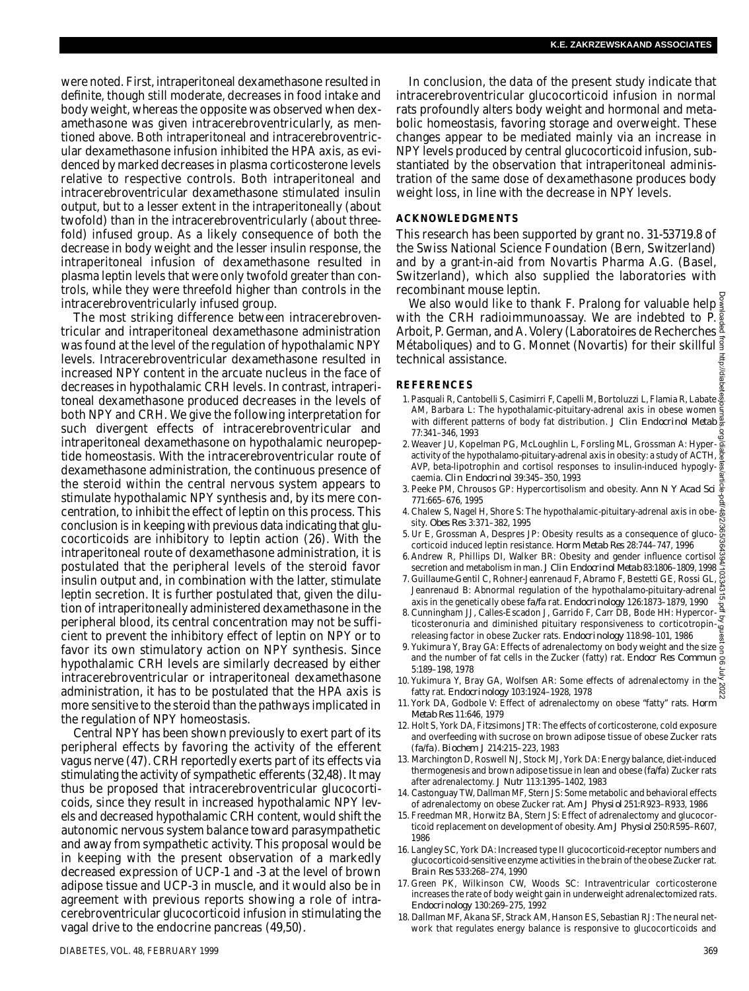were noted. First, intraperitoneal dexamethasone resulted in definite, though still moderate, decreases in food intake and body weight, whereas the opposite was observed when dexamethasone was given intracerebroventricularly, as mentioned above. Both intraperitoneal and intracerebroventricular dexamethasone infusion inhibited the HPA axis, as evidenced by marked decreases in plasma corticosterone levels relative to respective controls. Both intraperitoneal and intracerebroventricular dexamethasone stimulated insulin output, but to a lesser extent in the intraperitoneally (about twofold) than in the intracerebroventricularly (about threefold) infused group. As a likely consequence of both the decrease in body weight and the lesser insulin response, the intraperitoneal infusion of dexamethasone resulted in plasma leptin levels that were only twofold greater than controls, while they were threefold higher than controls in the intracerebroventricularly infused group.

The most striking difference between intracerebroventricular and intraperitoneal dexamethasone administration was found at the level of the regulation of hypothalamic NPY levels. Intracerebroventricular dexamethasone resulted in increased NPY content in the arcuate nucleus in the face of decreases in hypothalamic CRH levels. In contrast, intraperitoneal dexamethasone produced decreases in the levels of both NPY and CRH. We give the following interpretation for such divergent effects of intracerebroventricular and intraperitoneal dexamethasone on hypothalamic neuropeptide homeostasis. With the intracerebroventricular route of dexamethasone administration, the continuous presence of the steroid within the central nervous system appears to stimulate hypothalamic NPY synthesis and, by its mere concentration, to inhibit the effect of leptin on this process. This conclusion is in keeping with previous data indicating that glucocorticoids are inhibitory to leptin action (26). With the intraperitoneal route of dexamethasone administration, it is postulated that the peripheral levels of the steroid favor insulin output and, in combination with the latter, stimulate leptin secretion. It is further postulated that, given the dilution of intraperitoneally administered dexamethasone in the peripheral blood, its central concentration may not be sufficient to prevent the inhibitory effect of leptin on NPY or to favor its own stimulatory action on NPY synthesis. Since hypothalamic CRH levels are similarly decreased by either intracerebroventricular or intraperitoneal dexamethasone administration, it has to be postulated that the HPA axis is more sensitive to the steroid than the pathways implicated in the regulation of NPY homeostasis.

Central NPY has been shown previously to exert part of its peripheral effects by favoring the activity of the efferent vagus nerve (47). CRH reportedly exerts part of its effects via stimulating the activity of sympathetic efferents (32,48). It may thus be proposed that intracerebroventricular glucocorticoids, since they result in increased hypothalamic NPY levels and decreased hypothalamic CRH content, would shift the autonomic nervous system balance toward parasympathetic and away from sympathetic activity. This proposal would be in keeping with the present observation of a markedly decreased expression of UCP-1 and -3 at the level of brown adipose tissue and UCP-3 in muscle, and it would also be in agreement with previous reports showing a role of intracerebroventricular glucocorticoid infusion in stimulating the vagal drive to the endocrine pancreas (49,50).

In conclusion, the data of the present study indicate that intracerebroventricular glucocorticoid infusion in normal rats profoundly alters body weight and hormonal and metabolic homeostasis, favoring storage and overweight. These changes appear to be mediated mainly via an increase in NPY levels produced by central glucocorticoid infusion, substantiated by the observation that intraperitoneal administration of the same dose of dexamethasone produces body weight loss, in line with the decrease in NPY levels.

## **A C K N O W L E D G M E N T S**

This research has been supported by grant no. 31-53719.8 of the Swiss National Science Foundation (Bern, Switzerland) and by a grant-in-aid from Novartis Pharma A.G. (Basel, Switzerland), which also supplied the laboratories with recombinant mouse leptin.

We also would like to thank F. Pralong for valuable help § with the CRH radioimmunoassay. We are indebted to P. $\frac{5}{8}$ Arboit, P. German, and A. Volery (Laboratoires de Recherches  $\frac{8}{3}$ Métaboliques) and to G. Monnet (Novartis) for their skillful technical assistance. Downloaded from http://diabetesjournals.org/diabetes/article-pdf/48/2/365/364394/10334315.pdf by guest on 06 July 2022

### **R E F E R E N C E S**

- 1. Pasquali R, Cantobelli S, Casimirri F, Capelli M, Bortoluzzi L, Flamia R, Labate  $\frac{3}{5}$ AM, Barbara L: The hypothalamic-pituitary-adrenal axis in obese women with different patterns of body fat distribution. *J Clin Endocrinol Metab* 77:341–346, 1993
- 2 . Weaver JU, Kopelman PG, McLoughlin L, Forsling ML, Grossman A: Hyperactivity of the hypothalamo-pituitary-adrenal axis in obesity: a study of ACTH, AVP, beta-lipotrophin and cortisol responses to insulin-induced hypoglycaemia. *Clin Endocrinol* 39:345–350, 1993
- 3 . Peeke PM, Chrousos GP: Hypercortisolism and obesity. *Ann N Y Acad Sci* 771:665–676, 1995
- 4. Chalew S, Nagel H, Shore S: The hypothalamic-pituitary-adrenal axis in obe- $\frac{3}{8}$ sity. Obes Res 3:371-382, 1995
- 5. Ur E, Grossman A, Despres JP: Obesity results as a consequence of gluco-  $\frac{3}{5}$ corticoid induced leptin resistance. *Horm Metab Res* 28:744–747, 1996
- 6 .Andrew R, Phillips DI, Walker BR: Obesity and gender influence cortisol secretion and metabolism in man. *J Clin Endocrinol Metab* 83:1806–1809, 1998 5g
- 7 . Guillaume-Gentil C, Rohner-Jeanrenaud F, Abramo F, Bestetti GE, Rossi GL, Jeanrenaud B: Abnormal regulation of the hypothalamo-pituitary-adrenal  $\frac{15}{22}$  axis in the genetically obese *fa/farat. Endocrinology* 126:1873–1879, 1990 axis in the genetically obese *fa/fa* rat. *Endocrinology* 126:1873-1879, 1990
- 8 . Cunningham JJ, Calles-Escadon J, Garrido F, Carr DB, Bode HH: Hypercorticosteronuria and diminished pituitary responsiveness to corticotropinreleasing factor in obese Zucker rats. *Endocrinology* 118:98–101, 1986
- 9 . Yukimura Y, Bray GA: Effects of adrenalectomy on body weight and the size and the number of fat cells in the Zucker (fatty) rat. *Endocr Res Commun* 5:189–198, 1978
- 10. Yukimura Y, Bray GA, Wolfsen AR: Some effects of adrenalectomy in the fatty rat. *Endocrinology* 103:1924-1928, 1978
- 11. York DA, Godbole V: Effect of adrenalectomy on obese "fatty" rats. *Horm Metab Res* 11:646, 1979
- 12. Holt S, York DA, Fitzsimons JTR: The effects of corticosterone, cold exposure and overfeeding with sucrose on brown adipose tissue of obese Zucker rats (*f a*/*f a*). *Biochem J* 214:215–223, 1983
- 13. Marchington D, Roswell NJ, Stock MJ, York DA: Energy balance, diet-induced thermogenesis and brown adipose tissue in lean and obese *(fal fa)* Zucker rats after adrenalectomy. *J Nutr* 113:1395–1402, 1983
- 14. Castonguay TW, Dallman MF, Stern JS: Some metabolic and behavioral effects of adrenalectomy on obese Zucker rat. *Am J Physiol* 251:R923–R933, 1986
- 15. Freedman MR, Horwitz BA, Stern JS: Effect of adrenalectomy and glucocorticoid replacement on development of obesity. Am J Physiol 250:R595-R607, 1986
- 16. Langley SC, York DA: Increased type II glucocorticoid-receptor numbers and glucocorticoid-sensitive enzyme activities in the brain of the obese Zucker rat. *Brain Res* 533:268–274, 1990
- 17. Green PK, Wilkinson CW, Woods SC: Intraventricular corticosterone increases the rate of body weight gain in underweight adrenalectomized rats. *E n d o c r i n o l o g y* 130:269–275, 1992
- 18. Dallman MF, Akana SF, Strack AM, Hanson ES, Sebastian RJ: The neural network that regulates energy balance is responsive to glucocorticoids and

://diabe